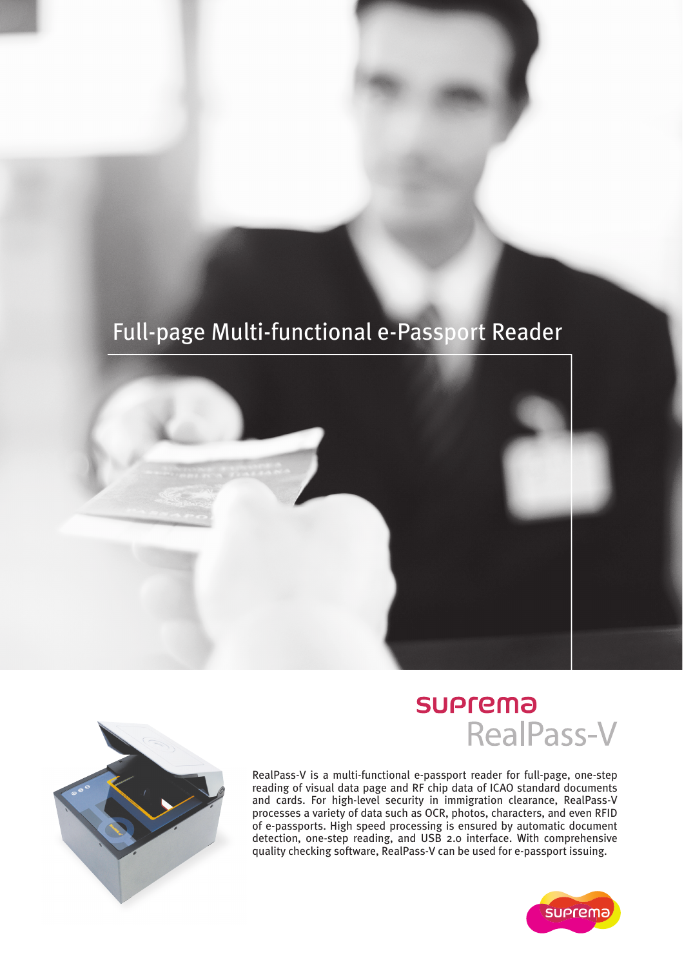## Full-page Multi-functional e-Passport Reader





## **SUPrema RealPass-V**

RealPass-V is a multi-functional e-passport reader for full-page, one-step reading of visual data page and RF chip data of ICAO standard documents and cards. For high-level security in immigration clearance, RealPass-V processes a variety of data such as OCR, photos, characters, and even RFID of e-passports. High speed processing is ensured by automatic document detection, one-step reading, and USB 2.0 interface. With comprehensive quality checking software, RealPass-V can be used for e-passport issuing.